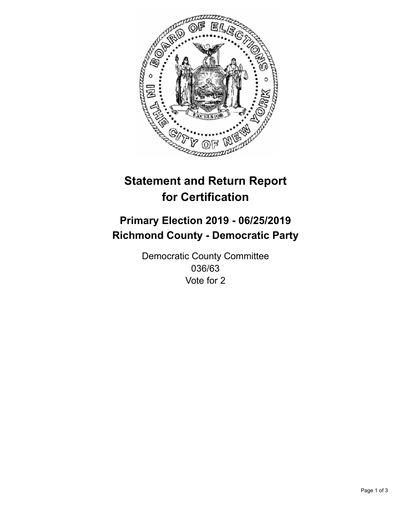

## **Statement and Return Report for Certification**

## **Primary Election 2019 - 06/25/2019 Richmond County - Democratic Party**

Democratic County Committee 036/63 Vote for 2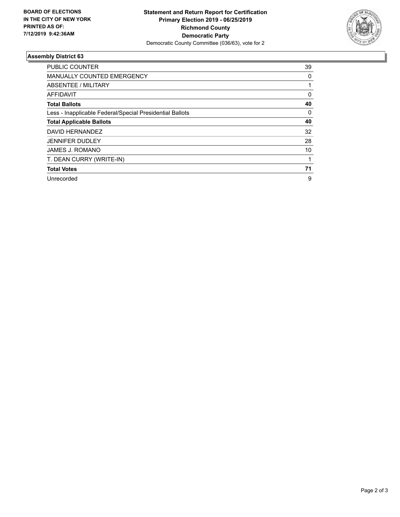

## **Assembly District 63**

| <b>PUBLIC COUNTER</b>                                    | 39       |
|----------------------------------------------------------|----------|
| MANUALLY COUNTED EMERGENCY                               | 0        |
| ABSENTEE / MILITARY                                      |          |
| AFFIDAVIT                                                | $\Omega$ |
| <b>Total Ballots</b>                                     | 40       |
| Less - Inapplicable Federal/Special Presidential Ballots | $\Omega$ |
| <b>Total Applicable Ballots</b>                          | 40       |
| DAVID HERNANDEZ                                          | 32       |
| <b>JENNIFER DUDLEY</b>                                   | 28       |
| <b>JAMES J. ROMANO</b>                                   | 10       |
| T. DEAN CURRY (WRITE-IN)                                 |          |
| <b>Total Votes</b>                                       | 71       |
| Unrecorded                                               | 9        |